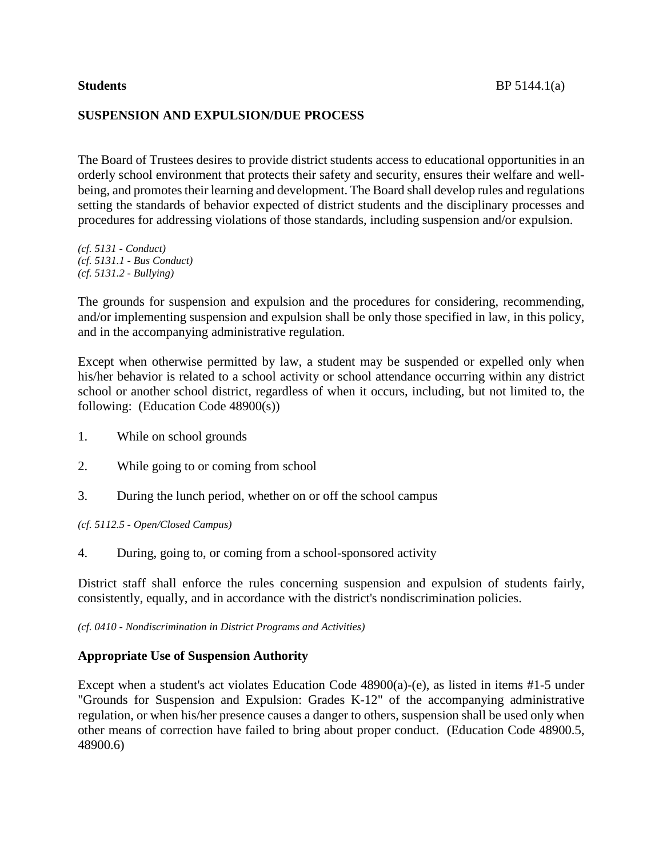# **SUSPENSION AND EXPULSION/DUE PROCESS**

The Board of Trustees desires to provide district students access to educational opportunities in an orderly school environment that protects their safety and security, ensures their welfare and wellbeing, and promotes their learning and development. The Board shall develop rules and regulations setting the standards of behavior expected of district students and the disciplinary processes and procedures for addressing violations of those standards, including suspension and/or expulsion.

*(cf. 5131 - Conduct) (cf. 5131.1 - Bus Conduct) (cf. 5131.2 - Bullying)*

The grounds for suspension and expulsion and the procedures for considering, recommending, and/or implementing suspension and expulsion shall be only those specified in law, in this policy, and in the accompanying administrative regulation.

Except when otherwise permitted by law, a student may be suspended or expelled only when his/her behavior is related to a school activity or school attendance occurring within any district school or another school district, regardless of when it occurs, including, but not limited to, the following: (Education Code 48900(s))

- 1. While on school grounds
- 2. While going to or coming from school
- 3. During the lunch period, whether on or off the school campus

*(cf. 5112.5 - Open/Closed Campus)*

4. During, going to, or coming from a school-sponsored activity

District staff shall enforce the rules concerning suspension and expulsion of students fairly, consistently, equally, and in accordance with the district's nondiscrimination policies.

*(cf. 0410 - Nondiscrimination in District Programs and Activities)*

# **Appropriate Use of Suspension Authority**

Except when a student's act violates Education Code 48900(a)-(e), as listed in items #1-5 under "Grounds for Suspension and Expulsion: Grades K-12" of the accompanying administrative regulation, or when his/her presence causes a danger to others, suspension shall be used only when other means of correction have failed to bring about proper conduct. (Education Code 48900.5, 48900.6)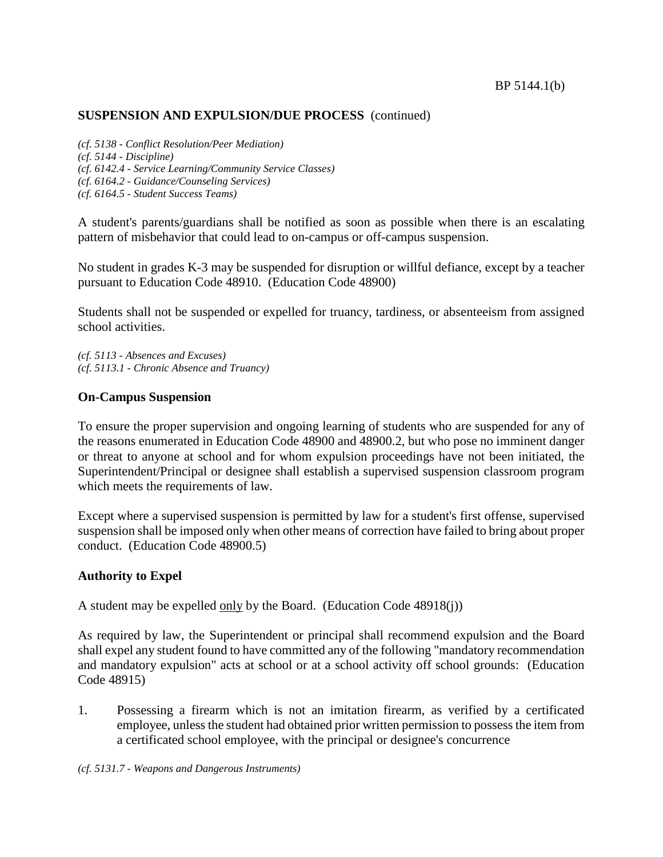*(cf. 5138 - Conflict Resolution/Peer Mediation) (cf. 5144 - Discipline) (cf. 6142.4 - Service Learning/Community Service Classes) (cf. 6164.2 - Guidance/Counseling Services) (cf. 6164.5 - Student Success Teams)*

A student's parents/guardians shall be notified as soon as possible when there is an escalating pattern of misbehavior that could lead to on-campus or off-campus suspension.

No student in grades K-3 may be suspended for disruption or willful defiance, except by a teacher pursuant to Education Code 48910. (Education Code 48900)

Students shall not be suspended or expelled for truancy, tardiness, or absenteeism from assigned school activities.

*(cf. 5113 - Absences and Excuses) (cf. 5113.1 - Chronic Absence and Truancy)*

## **On-Campus Suspension**

To ensure the proper supervision and ongoing learning of students who are suspended for any of the reasons enumerated in Education Code 48900 and 48900.2, but who pose no imminent danger or threat to anyone at school and for whom expulsion proceedings have not been initiated, the Superintendent/Principal or designee shall establish a supervised suspension classroom program which meets the requirements of law.

Except where a supervised suspension is permitted by law for a student's first offense, supervised suspension shall be imposed only when other means of correction have failed to bring about proper conduct. (Education Code 48900.5)

#### **Authority to Expel**

A student may be expelled only by the Board. (Education Code 48918(j))

As required by law, the Superintendent or principal shall recommend expulsion and the Board shall expel any student found to have committed any of the following "mandatory recommendation and mandatory expulsion" acts at school or at a school activity off school grounds: (Education Code 48915)

1. Possessing a firearm which is not an imitation firearm, as verified by a certificated employee, unlessthe student had obtained prior written permission to possessthe item from a certificated school employee, with the principal or designee's concurrence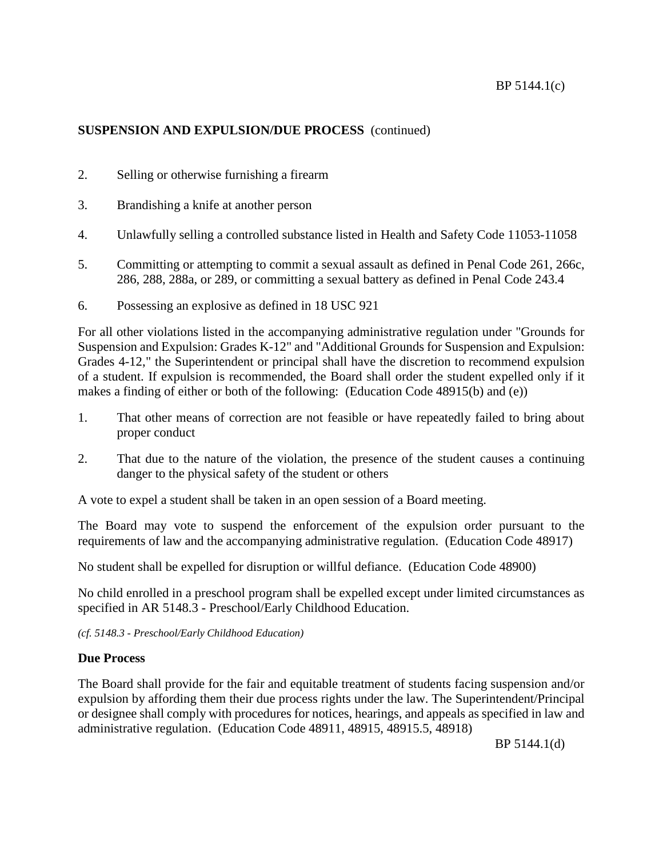- 2. Selling or otherwise furnishing a firearm
- 3. Brandishing a knife at another person
- 4. Unlawfully selling a controlled substance listed in Health and Safety Code 11053-11058
- 5. Committing or attempting to commit a sexual assault as defined in Penal Code 261, 266c, 286, 288, 288a, or 289, or committing a sexual battery as defined in Penal Code 243.4
- 6. Possessing an explosive as defined in 18 USC 921

For all other violations listed in the accompanying administrative regulation under "Grounds for Suspension and Expulsion: Grades K-12" and "Additional Grounds for Suspension and Expulsion: Grades 4-12," the Superintendent or principal shall have the discretion to recommend expulsion of a student. If expulsion is recommended, the Board shall order the student expelled only if it makes a finding of either or both of the following: (Education Code 48915(b) and (e))

- 1. That other means of correction are not feasible or have repeatedly failed to bring about proper conduct
- 2. That due to the nature of the violation, the presence of the student causes a continuing danger to the physical safety of the student or others

A vote to expel a student shall be taken in an open session of a Board meeting.

The Board may vote to suspend the enforcement of the expulsion order pursuant to the requirements of law and the accompanying administrative regulation. (Education Code 48917)

No student shall be expelled for disruption or willful defiance. (Education Code 48900)

No child enrolled in a preschool program shall be expelled except under limited circumstances as specified in AR 5148.3 - Preschool/Early Childhood Education.

*(cf. 5148.3 - Preschool/Early Childhood Education)*

# **Due Process**

The Board shall provide for the fair and equitable treatment of students facing suspension and/or expulsion by affording them their due process rights under the law. The Superintendent/Principal or designee shall comply with procedures for notices, hearings, and appeals as specified in law and administrative regulation. (Education Code 48911, 48915, 48915.5, 48918)

BP 5144.1(d)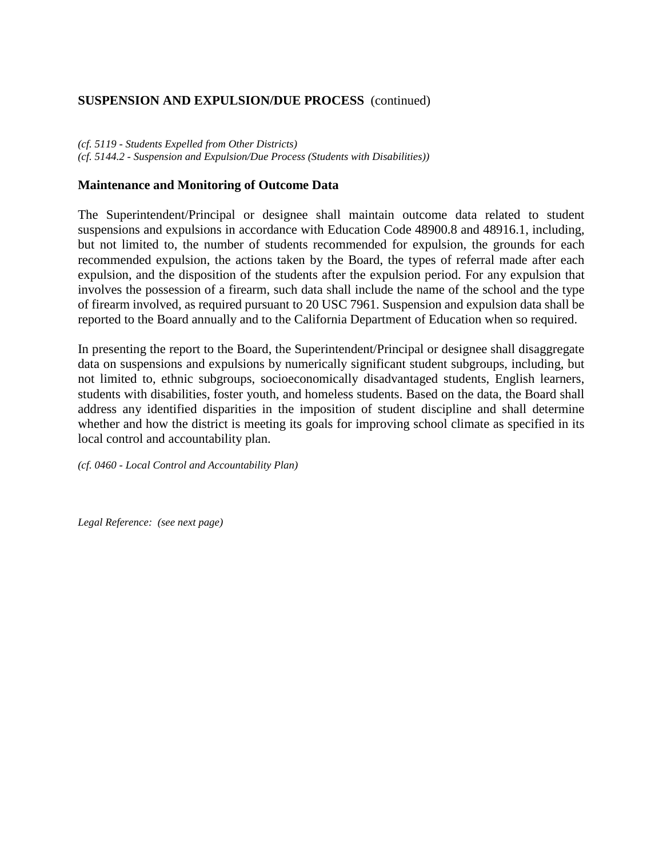*(cf. 5119 - Students Expelled from Other Districts) (cf. 5144.2 - Suspension and Expulsion/Due Process (Students with Disabilities))*

## **Maintenance and Monitoring of Outcome Data**

The Superintendent/Principal or designee shall maintain outcome data related to student suspensions and expulsions in accordance with Education Code 48900.8 and 48916.1, including, but not limited to, the number of students recommended for expulsion, the grounds for each recommended expulsion, the actions taken by the Board, the types of referral made after each expulsion, and the disposition of the students after the expulsion period. For any expulsion that involves the possession of a firearm, such data shall include the name of the school and the type of firearm involved, as required pursuant to 20 USC 7961. Suspension and expulsion data shall be reported to the Board annually and to the California Department of Education when so required.

In presenting the report to the Board, the Superintendent/Principal or designee shall disaggregate data on suspensions and expulsions by numerically significant student subgroups, including, but not limited to, ethnic subgroups, socioeconomically disadvantaged students, English learners, students with disabilities, foster youth, and homeless students. Based on the data, the Board shall address any identified disparities in the imposition of student discipline and shall determine whether and how the district is meeting its goals for improving school climate as specified in its local control and accountability plan.

*(cf. 0460 - Local Control and Accountability Plan)*

*Legal Reference: (see next page)*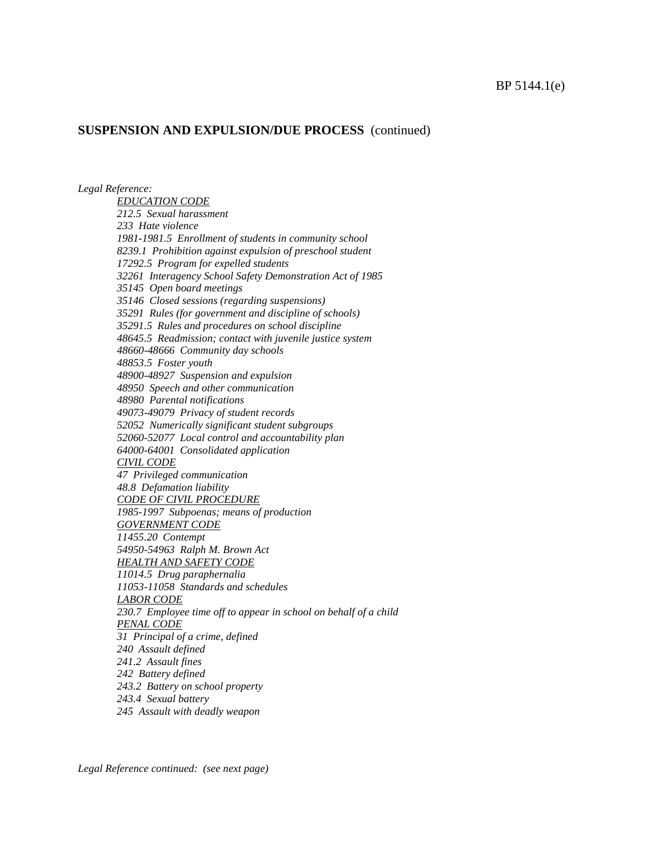*EDUCATION CODE 212.5 Sexual harassment 233 Hate violence 1981-1981.5 Enrollment of students in community school 8239.1 Prohibition against expulsion of preschool student 17292.5 Program for expelled students 32261 Interagency School Safety Demonstration Act of 1985 35145 Open board meetings 35146 Closed sessions (regarding suspensions) 35291 Rules (for government and discipline of schools) 35291.5 Rules and procedures on school discipline 48645.5 Readmission; contact with juvenile justice system 48660-48666 Community day schools 48853.5 Foster youth 48900-48927 Suspension and expulsion 48950 Speech and other communication 48980 Parental notifications 49073-49079 Privacy of student records 52052 Numerically significant student subgroups 52060-52077 Local control and accountability plan 64000-64001 Consolidated application CIVIL CODE 47 Privileged communication 48.8 Defamation liability CODE OF CIVIL PROCEDURE 1985-1997 Subpoenas; means of production GOVERNMENT CODE 11455.20 Contempt 54950-54963 Ralph M. Brown Act*

*Legal Reference:*

*HEALTH AND SAFETY CODE 11014.5 Drug paraphernalia 11053-11058 Standards and schedules LABOR CODE 230.7 Employee time off to appear in school on behalf of a child PENAL CODE 31 Principal of a crime, defined 240 Assault defined 241.2 Assault fines 242 Battery defined 243.2 Battery on school property 243.4 Sexual battery*

*245 Assault with deadly weapon*

*Legal Reference continued: (see next page)*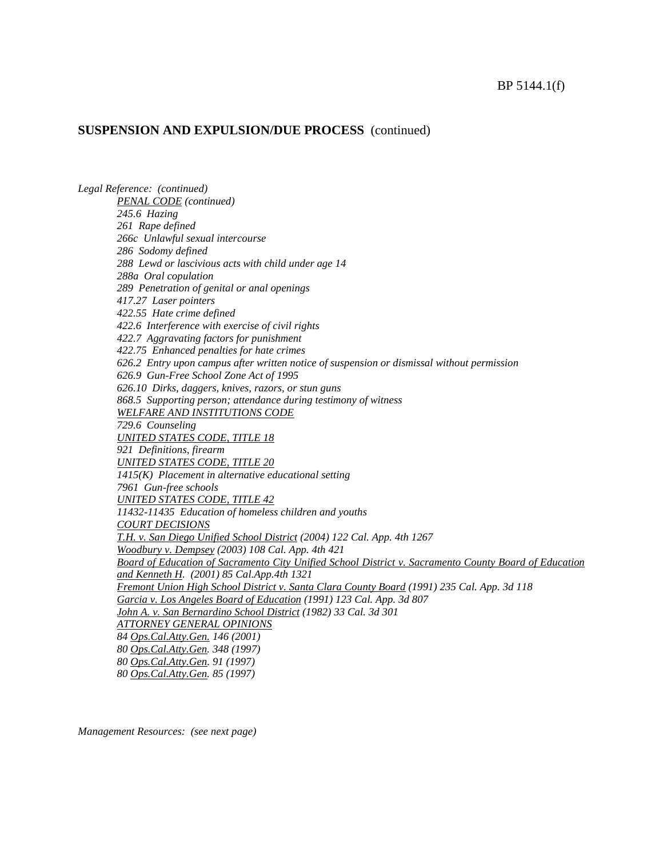*Legal Reference: (continued) PENAL CODE (continued) 245.6 Hazing 261 Rape defined 266c Unlawful sexual intercourse 286 Sodomy defined 288 Lewd or lascivious acts with child under age 14 288a Oral copulation 289 Penetration of genital or anal openings 417.27 Laser pointers 422.55 Hate crime defined 422.6 Interference with exercise of civil rights 422.7 Aggravating factors for punishment 422.75 Enhanced penalties for hate crimes 626.2 Entry upon campus after written notice of suspension or dismissal without permission 626.9 Gun-Free School Zone Act of 1995 626.10 Dirks, daggers, knives, razors, or stun guns 868.5 Supporting person; attendance during testimony of witness WELFARE AND INSTITUTIONS CODE 729.6 Counseling UNITED STATES CODE, TITLE 18 921 Definitions, firearm UNITED STATES CODE, TITLE 20 1415(K) Placement in alternative educational setting 7961 Gun-free schools UNITED STATES CODE, TITLE 42 11432-11435 Education of homeless children and youths COURT DECISIONS T.H. v. San Diego Unified School District (2004) 122 Cal. App. 4th 1267 Woodbury v. Dempsey (2003) 108 Cal. App. 4th 421 Board of Education of Sacramento City Unified School District v. Sacramento County Board of Education and Kenneth H. (2001) 85 Cal.App.4th 1321 Fremont Union High School District v. Santa Clara County Board (1991) 235 Cal. App. 3d 118 Garcia v. Los Angeles Board of Education (1991) 123 Cal. App. 3d 807 John A. v. San Bernardino School District (1982) 33 Cal. 3d 301 ATTORNEY GENERAL OPINIONS 84 Ops.Cal.Atty.Gen. 146 (2001) 80 Ops.Cal.Atty.Gen. 348 (1997) 80 Ops.Cal.Atty.Gen. 91 (1997) 80 Ops.Cal.Atty.Gen. 85 (1997)*

*Management Resources: (see next page)*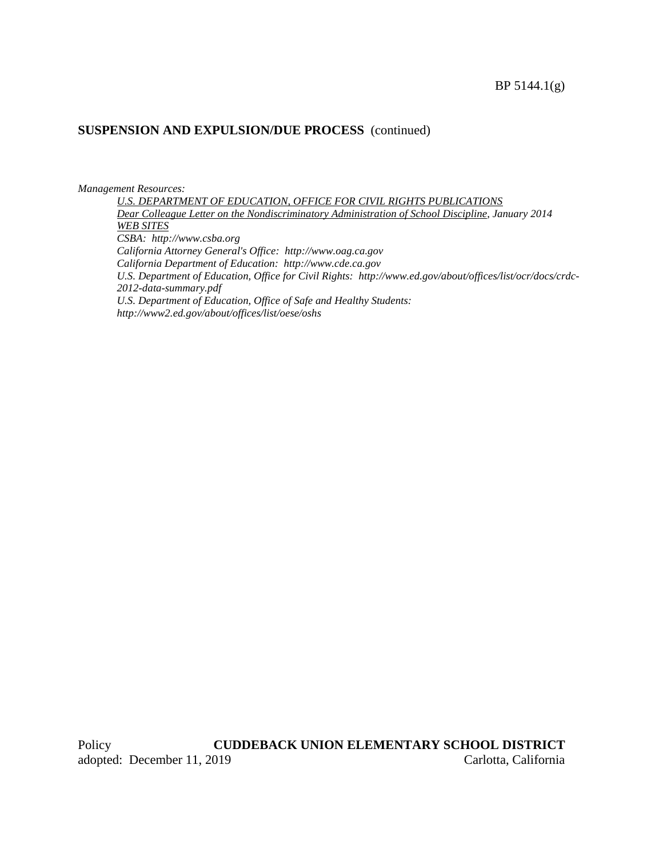#### *Management Resources:*

*U.S. DEPARTMENT OF EDUCATION, OFFICE FOR CIVIL RIGHTS PUBLICATIONS Dear Colleague Letter on the Nondiscriminatory Administration of School Discipline, January 2014 WEB SITES CSBA: http://www.csba.org California Attorney General's Office: http://www.oag.ca.gov California Department of Education: http://www.cde.ca.gov U.S. Department of Education, Office for Civil Rights: http://www.ed.gov/about/offices/list/ocr/docs/crdc-2012-data-summary.pdf U.S. Department of Education, Office of Safe and Healthy Students: http://www2.ed.gov/about/offices/list/oese/oshs*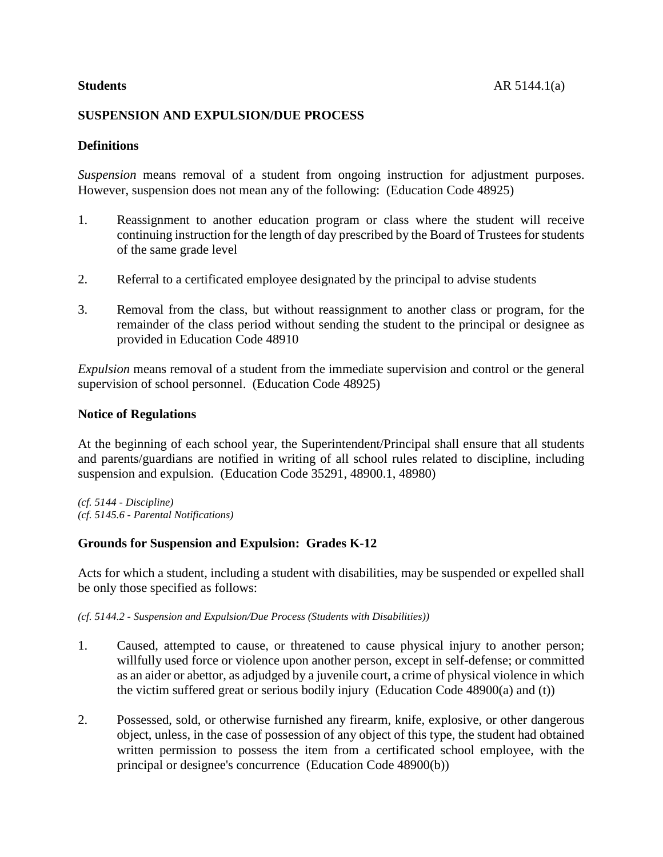# **SUSPENSION AND EXPULSION/DUE PROCESS**

# **Definitions**

*Suspension* means removal of a student from ongoing instruction for adjustment purposes. However, suspension does not mean any of the following: (Education Code 48925)

- 1. Reassignment to another education program or class where the student will receive continuing instruction for the length of day prescribed by the Board of Trustees for students of the same grade level
- 2. Referral to a certificated employee designated by the principal to advise students
- 3. Removal from the class, but without reassignment to another class or program, for the remainder of the class period without sending the student to the principal or designee as provided in Education Code 48910

*Expulsion* means removal of a student from the immediate supervision and control or the general supervision of school personnel. (Education Code 48925)

#### **Notice of Regulations**

At the beginning of each school year, the Superintendent/Principal shall ensure that all students and parents/guardians are notified in writing of all school rules related to discipline, including suspension and expulsion. (Education Code 35291, 48900.1, 48980)

*(cf. 5144 - Discipline) (cf. 5145.6 - Parental Notifications)*

# **Grounds for Suspension and Expulsion: Grades K-12**

Acts for which a student, including a student with disabilities, may be suspended or expelled shall be only those specified as follows:

*(cf. 5144.2 - Suspension and Expulsion/Due Process (Students with Disabilities))*

- 1. Caused, attempted to cause, or threatened to cause physical injury to another person; willfully used force or violence upon another person, except in self-defense; or committed as an aider or abettor, as adjudged by a juvenile court, a crime of physical violence in which the victim suffered great or serious bodily injury (Education Code 48900(a) and (t))
- 2. Possessed, sold, or otherwise furnished any firearm, knife, explosive, or other dangerous object, unless, in the case of possession of any object of this type, the student had obtained written permission to possess the item from a certificated school employee, with the principal or designee's concurrence (Education Code 48900(b))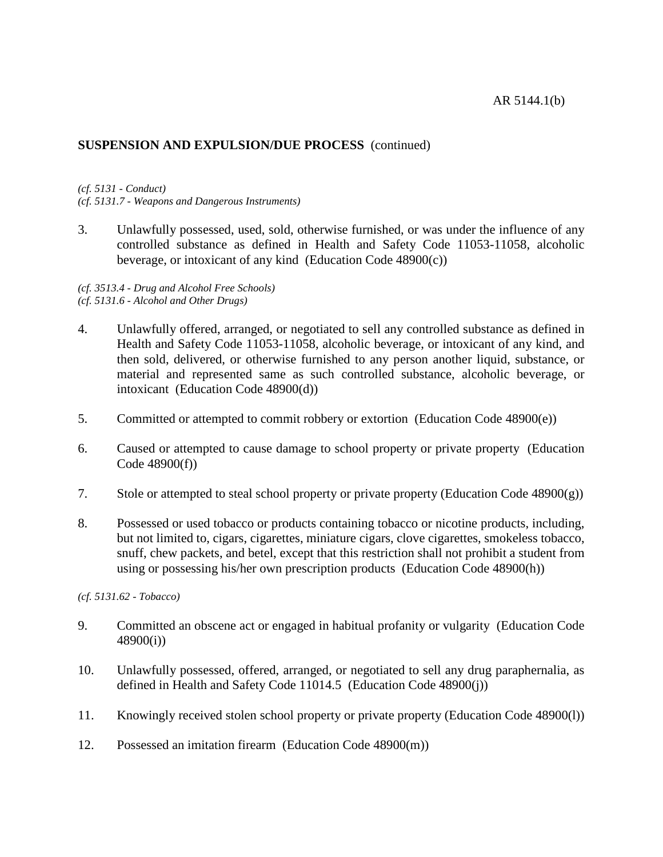#### AR 5144.1(b)

## **SUSPENSION AND EXPULSION/DUE PROCESS** (continued)

#### *(cf. 5131 - Conduct)*

*(cf. 5131.7 - Weapons and Dangerous Instruments)*

3. Unlawfully possessed, used, sold, otherwise furnished, or was under the influence of any controlled substance as defined in Health and Safety Code 11053-11058, alcoholic beverage, or intoxicant of any kind (Education Code 48900(c))

#### *(cf. 3513.4 - Drug and Alcohol Free Schools) (cf. 5131.6 - Alcohol and Other Drugs)*

- 4. Unlawfully offered, arranged, or negotiated to sell any controlled substance as defined in Health and Safety Code 11053-11058, alcoholic beverage, or intoxicant of any kind, and then sold, delivered, or otherwise furnished to any person another liquid, substance, or material and represented same as such controlled substance, alcoholic beverage, or intoxicant (Education Code 48900(d))
- 5. Committed or attempted to commit robbery or extortion (Education Code 48900(e))
- 6. Caused or attempted to cause damage to school property or private property (Education Code 48900(f))
- 7. Stole or attempted to steal school property or private property (Education Code 48900(g))
- 8. Possessed or used tobacco or products containing tobacco or nicotine products, including, but not limited to, cigars, cigarettes, miniature cigars, clove cigarettes, smokeless tobacco, snuff, chew packets, and betel, except that this restriction shall not prohibit a student from using or possessing his/her own prescription products (Education Code 48900(h))

*(cf. 5131.62 - Tobacco)*

- 9. Committed an obscene act or engaged in habitual profanity or vulgarity (Education Code 48900(i))
- 10. Unlawfully possessed, offered, arranged, or negotiated to sell any drug paraphernalia, as defined in Health and Safety Code 11014.5 (Education Code 48900(j))
- 11. Knowingly received stolen school property or private property (Education Code 48900(l))
- 12. Possessed an imitation firearm (Education Code 48900(m))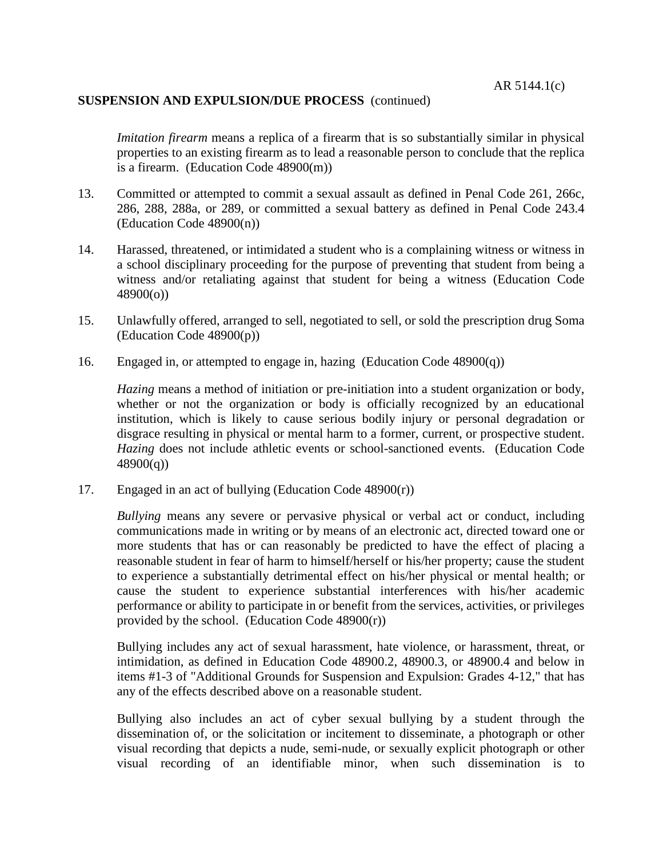*Imitation firearm* means a replica of a firearm that is so substantially similar in physical properties to an existing firearm as to lead a reasonable person to conclude that the replica is a firearm. (Education Code 48900(m))

- 13. Committed or attempted to commit a sexual assault as defined in Penal Code 261, 266c, 286, 288, 288a, or 289, or committed a sexual battery as defined in Penal Code 243.4 (Education Code 48900(n))
- 14. Harassed, threatened, or intimidated a student who is a complaining witness or witness in a school disciplinary proceeding for the purpose of preventing that student from being a witness and/or retaliating against that student for being a witness (Education Code 48900(o))
- 15. Unlawfully offered, arranged to sell, negotiated to sell, or sold the prescription drug Soma (Education Code 48900(p))
- 16. Engaged in, or attempted to engage in, hazing (Education Code 48900(q))

*Hazing* means a method of initiation or pre-initiation into a student organization or body, whether or not the organization or body is officially recognized by an educational institution, which is likely to cause serious bodily injury or personal degradation or disgrace resulting in physical or mental harm to a former, current, or prospective student. *Hazing* does not include athletic events or school-sanctioned events. (Education Code  $48900(q)$ 

17. Engaged in an act of bullying (Education Code 48900(r))

*Bullying* means any severe or pervasive physical or verbal act or conduct, including communications made in writing or by means of an electronic act, directed toward one or more students that has or can reasonably be predicted to have the effect of placing a reasonable student in fear of harm to himself/herself or his/her property; cause the student to experience a substantially detrimental effect on his/her physical or mental health; or cause the student to experience substantial interferences with his/her academic performance or ability to participate in or benefit from the services, activities, or privileges provided by the school. (Education Code  $48900(r)$ )

Bullying includes any act of sexual harassment, hate violence, or harassment, threat, or intimidation, as defined in Education Code 48900.2, 48900.3, or 48900.4 and below in items #1-3 of "Additional Grounds for Suspension and Expulsion: Grades 4-12," that has any of the effects described above on a reasonable student.

Bullying also includes an act of cyber sexual bullying by a student through the dissemination of, or the solicitation or incitement to disseminate, a photograph or other visual recording that depicts a nude, semi-nude, or sexually explicit photograph or other visual recording of an identifiable minor, when such dissemination is to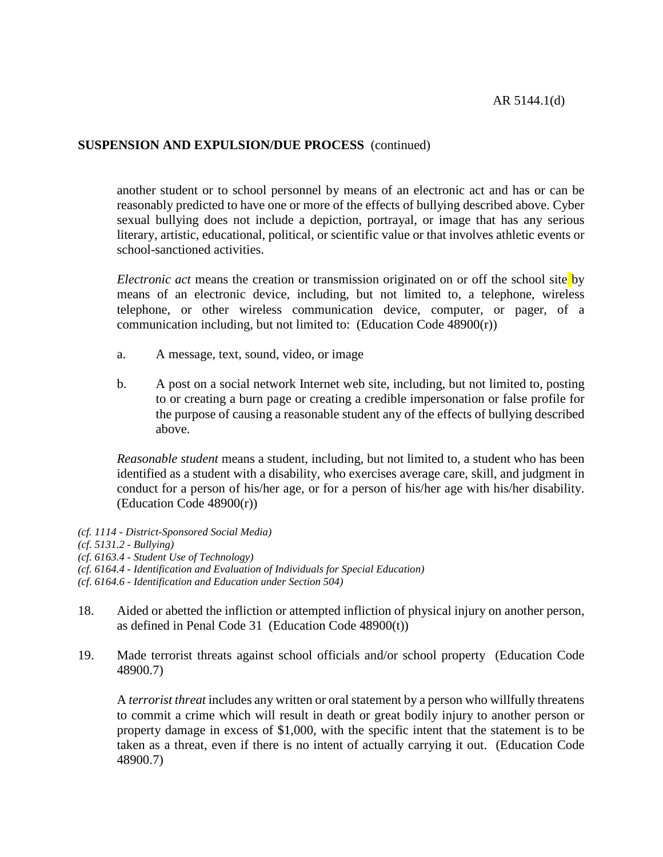another student or to school personnel by means of an electronic act and has or can be reasonably predicted to have one or more of the effects of bullying described above. Cyber sexual bullying does not include a depiction, portrayal, or image that has any serious literary, artistic, educational, political, or scientific value or that involves athletic events or school-sanctioned activities.

*Electronic act* means the creation or transmission originated on or off the school site by means of an electronic device, including, but not limited to, a telephone, wireless telephone, or other wireless communication device, computer, or pager, of a communication including, but not limited to: (Education Code 48900(r))

- a. A message, text, sound, video, or image
- b. A post on a social network Internet web site, including, but not limited to, posting to or creating a burn page or creating a credible impersonation or false profile for the purpose of causing a reasonable student any of the effects of bullying described above.

*Reasonable student* means a student, including, but not limited to, a student who has been identified as a student with a disability, who exercises average care, skill, and judgment in conduct for a person of his/her age, or for a person of his/her age with his/her disability. (Education Code 48900(r))

- *(cf. 1114 - District-Sponsored Social Media)*
- *(cf. 5131.2 - Bullying)*
- *(cf. 6163.4 - Student Use of Technology)*
- *(cf. 6164.4 - Identification and Evaluation of Individuals for Special Education)*
- *(cf. 6164.6 - Identification and Education under Section 504)*
- 18. Aided or abetted the infliction or attempted infliction of physical injury on another person, as defined in Penal Code 31 (Education Code 48900(t))
- 19. Made terrorist threats against school officials and/or school property (Education Code 48900.7)

A *terrorist threat* includes any written or oral statement by a person who willfully threatens to commit a crime which will result in death or great bodily injury to another person or property damage in excess of \$1,000, with the specific intent that the statement is to be taken as a threat, even if there is no intent of actually carrying it out. (Education Code 48900.7)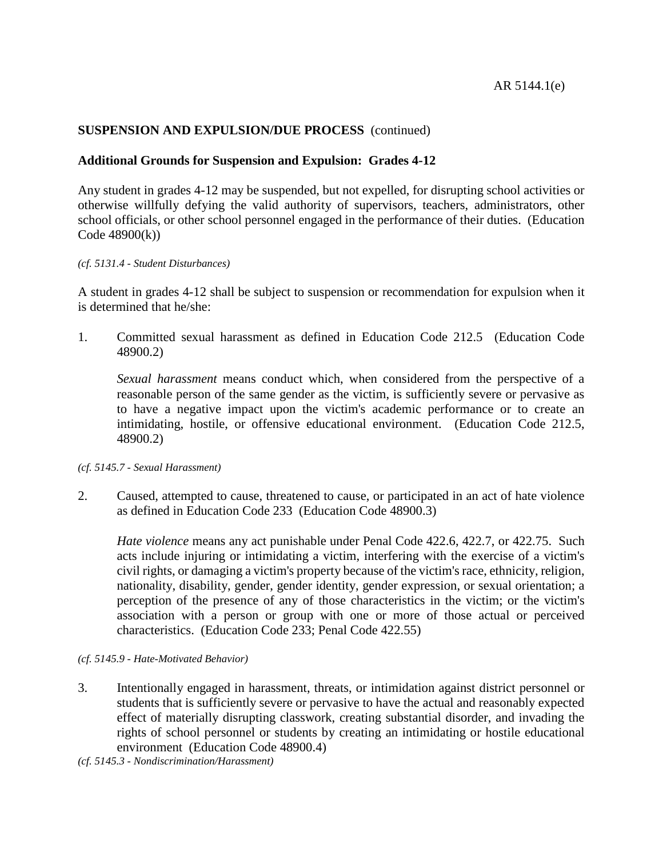# **Additional Grounds for Suspension and Expulsion: Grades 4-12**

Any student in grades 4-12 may be suspended, but not expelled, for disrupting school activities or otherwise willfully defying the valid authority of supervisors, teachers, administrators, other school officials, or other school personnel engaged in the performance of their duties. (Education Code 48900(k))

#### *(cf. 5131.4 - Student Disturbances)*

A student in grades 4-12 shall be subject to suspension or recommendation for expulsion when it is determined that he/she:

1. Committed sexual harassment as defined in Education Code 212.5 (Education Code 48900.2)

*Sexual harassment* means conduct which, when considered from the perspective of a reasonable person of the same gender as the victim, is sufficiently severe or pervasive as to have a negative impact upon the victim's academic performance or to create an intimidating, hostile, or offensive educational environment. (Education Code 212.5, 48900.2)

*(cf. 5145.7 - Sexual Harassment)*

2. Caused, attempted to cause, threatened to cause, or participated in an act of hate violence as defined in Education Code 233 (Education Code 48900.3)

*Hate violence* means any act punishable under Penal Code 422.6, 422.7, or 422.75. Such acts include injuring or intimidating a victim, interfering with the exercise of a victim's civil rights, or damaging a victim's property because of the victim's race, ethnicity, religion, nationality, disability, gender, gender identity, gender expression, or sexual orientation; a perception of the presence of any of those characteristics in the victim; or the victim's association with a person or group with one or more of those actual or perceived characteristics. (Education Code 233; Penal Code 422.55)

#### *(cf. 5145.9 - Hate-Motivated Behavior)*

- 3. Intentionally engaged in harassment, threats, or intimidation against district personnel or students that is sufficiently severe or pervasive to have the actual and reasonably expected effect of materially disrupting classwork, creating substantial disorder, and invading the rights of school personnel or students by creating an intimidating or hostile educational environment (Education Code 48900.4)
- *(cf. 5145.3 - Nondiscrimination/Harassment)*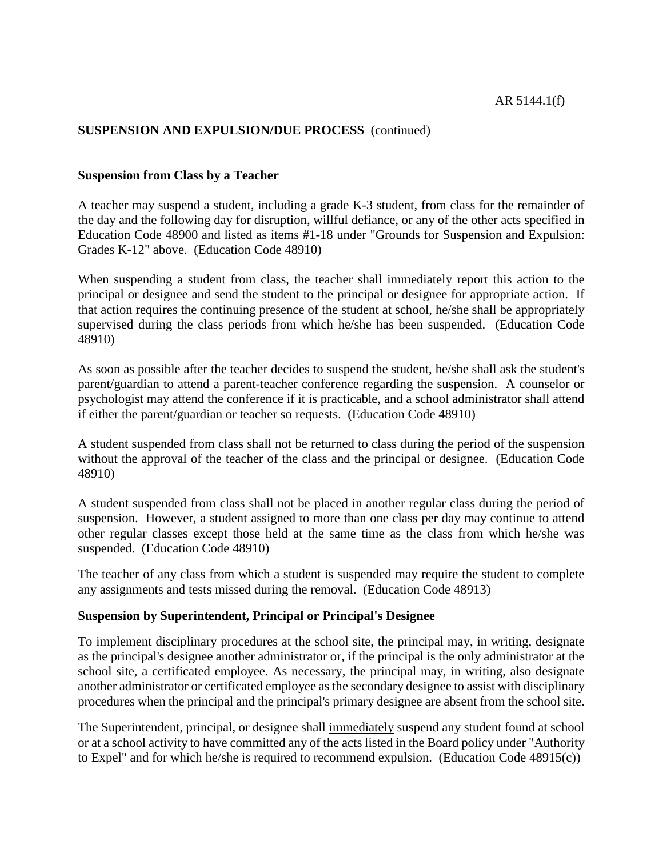## **Suspension from Class by a Teacher**

A teacher may suspend a student, including a grade K-3 student, from class for the remainder of the day and the following day for disruption, willful defiance, or any of the other acts specified in Education Code 48900 and listed as items #1-18 under "Grounds for Suspension and Expulsion: Grades K-12" above. (Education Code 48910)

When suspending a student from class, the teacher shall immediately report this action to the principal or designee and send the student to the principal or designee for appropriate action. If that action requires the continuing presence of the student at school, he/she shall be appropriately supervised during the class periods from which he/she has been suspended. (Education Code 48910)

As soon as possible after the teacher decides to suspend the student, he/she shall ask the student's parent/guardian to attend a parent-teacher conference regarding the suspension. A counselor or psychologist may attend the conference if it is practicable, and a school administrator shall attend if either the parent/guardian or teacher so requests. (Education Code 48910)

A student suspended from class shall not be returned to class during the period of the suspension without the approval of the teacher of the class and the principal or designee. (Education Code 48910)

A student suspended from class shall not be placed in another regular class during the period of suspension. However, a student assigned to more than one class per day may continue to attend other regular classes except those held at the same time as the class from which he/she was suspended. (Education Code 48910)

The teacher of any class from which a student is suspended may require the student to complete any assignments and tests missed during the removal. (Education Code 48913)

#### **Suspension by Superintendent, Principal or Principal's Designee**

To implement disciplinary procedures at the school site, the principal may, in writing, designate as the principal's designee another administrator or, if the principal is the only administrator at the school site, a certificated employee. As necessary, the principal may, in writing, also designate another administrator or certificated employee as the secondary designee to assist with disciplinary procedures when the principal and the principal's primary designee are absent from the school site.

The Superintendent, principal, or designee shall immediately suspend any student found at school or at a school activity to have committed any of the acts listed in the Board policy under "Authority to Expel" and for which he/she is required to recommend expulsion. (Education Code 48915(c))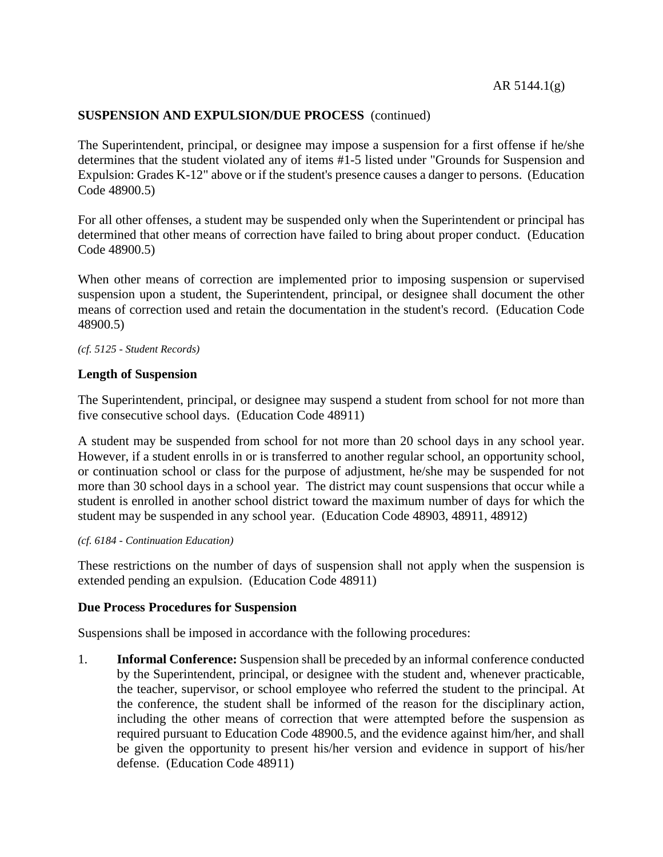The Superintendent, principal, or designee may impose a suspension for a first offense if he/she determines that the student violated any of items #1-5 listed under "Grounds for Suspension and Expulsion: Grades K-12" above or if the student's presence causes a danger to persons. (Education Code 48900.5)

For all other offenses, a student may be suspended only when the Superintendent or principal has determined that other means of correction have failed to bring about proper conduct. (Education Code 48900.5)

When other means of correction are implemented prior to imposing suspension or supervised suspension upon a student, the Superintendent, principal, or designee shall document the other means of correction used and retain the documentation in the student's record. (Education Code 48900.5)

#### *(cf. 5125 - Student Records)*

## **Length of Suspension**

The Superintendent, principal, or designee may suspend a student from school for not more than five consecutive school days. (Education Code 48911)

A student may be suspended from school for not more than 20 school days in any school year. However, if a student enrolls in or is transferred to another regular school, an opportunity school, or continuation school or class for the purpose of adjustment, he/she may be suspended for not more than 30 school days in a school year. The district may count suspensions that occur while a student is enrolled in another school district toward the maximum number of days for which the student may be suspended in any school year. (Education Code 48903, 48911, 48912)

#### *(cf. 6184 - Continuation Education)*

These restrictions on the number of days of suspension shall not apply when the suspension is extended pending an expulsion. (Education Code 48911)

## **Due Process Procedures for Suspension**

Suspensions shall be imposed in accordance with the following procedures:

1. **Informal Conference:** Suspension shall be preceded by an informal conference conducted by the Superintendent, principal, or designee with the student and, whenever practicable, the teacher, supervisor, or school employee who referred the student to the principal. At the conference, the student shall be informed of the reason for the disciplinary action, including the other means of correction that were attempted before the suspension as required pursuant to Education Code 48900.5, and the evidence against him/her, and shall be given the opportunity to present his/her version and evidence in support of his/her defense. (Education Code 48911)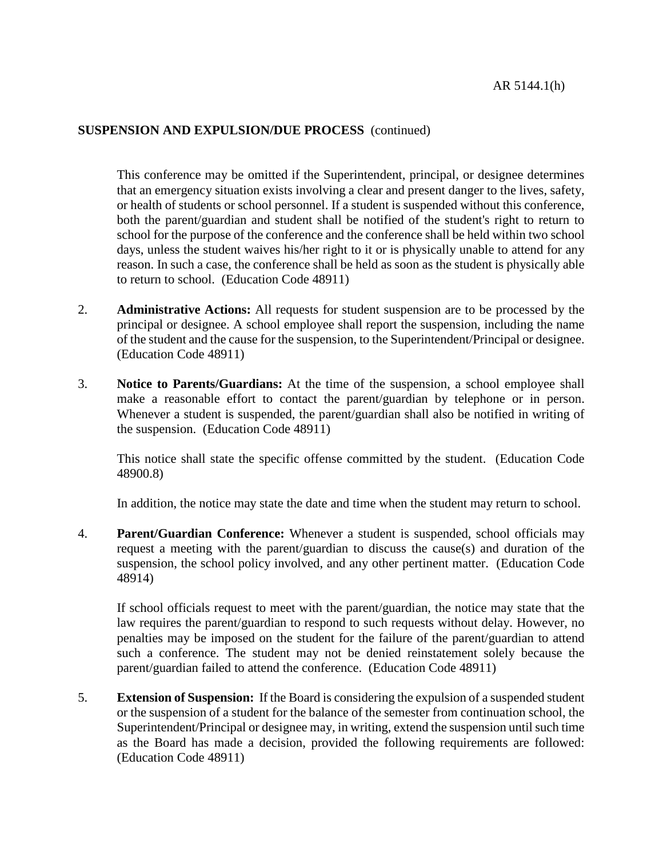This conference may be omitted if the Superintendent, principal, or designee determines that an emergency situation exists involving a clear and present danger to the lives, safety, or health of students or school personnel. If a student is suspended without this conference, both the parent/guardian and student shall be notified of the student's right to return to school for the purpose of the conference and the conference shall be held within two school days, unless the student waives his/her right to it or is physically unable to attend for any reason. In such a case, the conference shall be held as soon as the student is physically able to return to school. (Education Code 48911)

- 2. **Administrative Actions:** All requests for student suspension are to be processed by the principal or designee. A school employee shall report the suspension, including the name of the student and the cause for the suspension, to the Superintendent/Principal or designee. (Education Code 48911)
- 3. **Notice to Parents/Guardians:** At the time of the suspension, a school employee shall make a reasonable effort to contact the parent/guardian by telephone or in person. Whenever a student is suspended, the parent/guardian shall also be notified in writing of the suspension. (Education Code 48911)

This notice shall state the specific offense committed by the student. (Education Code 48900.8)

In addition, the notice may state the date and time when the student may return to school.

4. **Parent/Guardian Conference:** Whenever a student is suspended, school officials may request a meeting with the parent/guardian to discuss the cause(s) and duration of the suspension, the school policy involved, and any other pertinent matter. (Education Code 48914)

If school officials request to meet with the parent/guardian, the notice may state that the law requires the parent/guardian to respond to such requests without delay. However, no penalties may be imposed on the student for the failure of the parent/guardian to attend such a conference. The student may not be denied reinstatement solely because the parent/guardian failed to attend the conference. (Education Code 48911)

5. **Extension of Suspension:** If the Board is considering the expulsion of a suspended student or the suspension of a student for the balance of the semester from continuation school, the Superintendent/Principal or designee may, in writing, extend the suspension until such time as the Board has made a decision, provided the following requirements are followed: (Education Code 48911)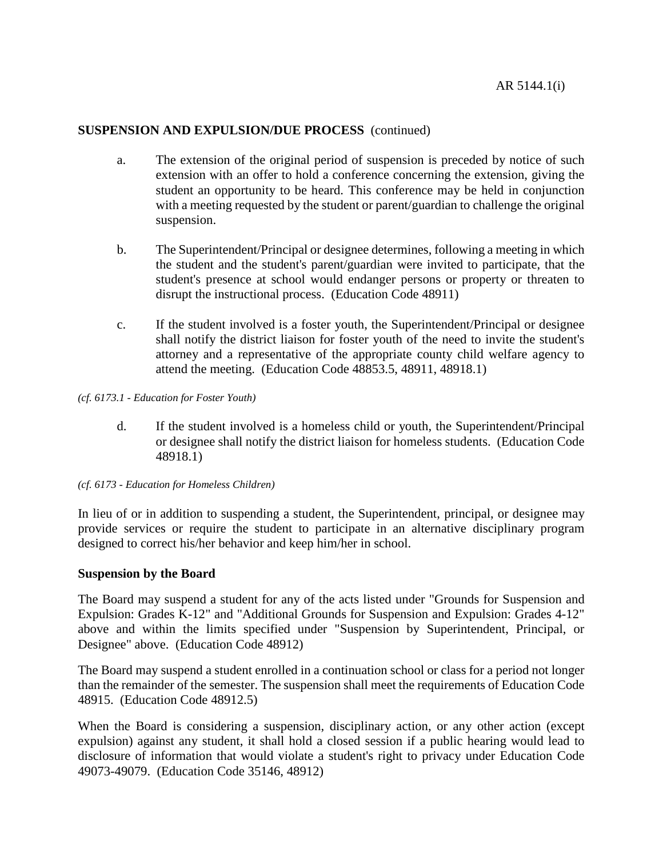- a. The extension of the original period of suspension is preceded by notice of such extension with an offer to hold a conference concerning the extension, giving the student an opportunity to be heard. This conference may be held in conjunction with a meeting requested by the student or parent/guardian to challenge the original suspension.
- b. The Superintendent/Principal or designee determines, following a meeting in which the student and the student's parent/guardian were invited to participate, that the student's presence at school would endanger persons or property or threaten to disrupt the instructional process. (Education Code 48911)
- c. If the student involved is a foster youth, the Superintendent/Principal or designee shall notify the district liaison for foster youth of the need to invite the student's attorney and a representative of the appropriate county child welfare agency to attend the meeting. (Education Code 48853.5, 48911, 48918.1)

*(cf. 6173.1 - Education for Foster Youth)*

- d. If the student involved is a homeless child or youth, the Superintendent/Principal or designee shall notify the district liaison for homeless students. (Education Code 48918.1)
- *(cf. 6173 - Education for Homeless Children)*

In lieu of or in addition to suspending a student, the Superintendent, principal, or designee may provide services or require the student to participate in an alternative disciplinary program designed to correct his/her behavior and keep him/her in school.

#### **Suspension by the Board**

The Board may suspend a student for any of the acts listed under "Grounds for Suspension and Expulsion: Grades K-12" and "Additional Grounds for Suspension and Expulsion: Grades 4-12" above and within the limits specified under "Suspension by Superintendent, Principal, or Designee" above. (Education Code 48912)

The Board may suspend a student enrolled in a continuation school or class for a period not longer than the remainder of the semester. The suspension shall meet the requirements of Education Code 48915. (Education Code 48912.5)

When the Board is considering a suspension, disciplinary action, or any other action (except expulsion) against any student, it shall hold a closed session if a public hearing would lead to disclosure of information that would violate a student's right to privacy under Education Code 49073-49079. (Education Code 35146, 48912)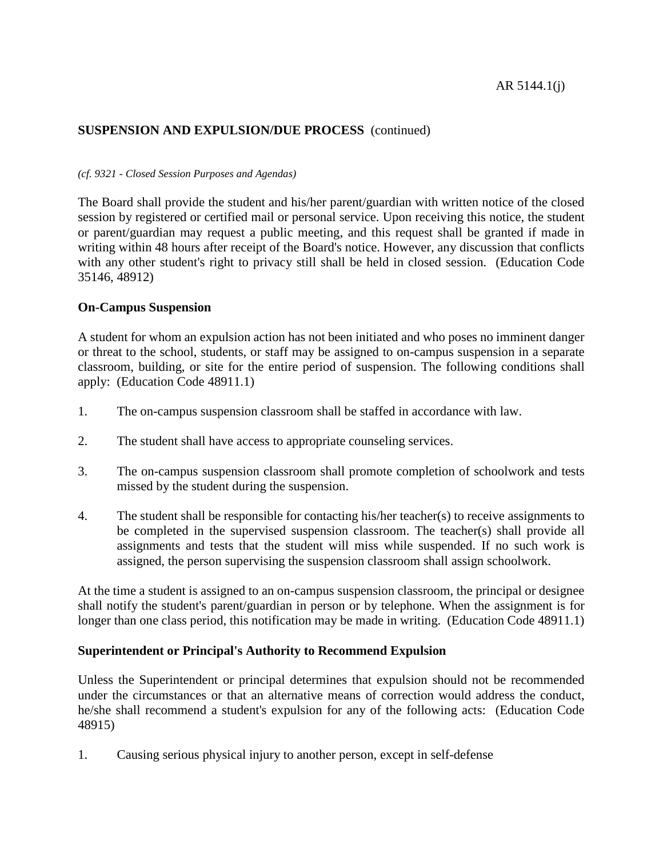## *(cf. 9321 - Closed Session Purposes and Agendas)*

The Board shall provide the student and his/her parent/guardian with written notice of the closed session by registered or certified mail or personal service. Upon receiving this notice, the student or parent/guardian may request a public meeting, and this request shall be granted if made in writing within 48 hours after receipt of the Board's notice. However, any discussion that conflicts with any other student's right to privacy still shall be held in closed session. (Education Code 35146, 48912)

# **On-Campus Suspension**

A student for whom an expulsion action has not been initiated and who poses no imminent danger or threat to the school, students, or staff may be assigned to on-campus suspension in a separate classroom, building, or site for the entire period of suspension. The following conditions shall apply: (Education Code 48911.1)

- 1. The on-campus suspension classroom shall be staffed in accordance with law.
- 2. The student shall have access to appropriate counseling services.
- 3. The on-campus suspension classroom shall promote completion of schoolwork and tests missed by the student during the suspension.
- 4. The student shall be responsible for contacting his/her teacher(s) to receive assignments to be completed in the supervised suspension classroom. The teacher(s) shall provide all assignments and tests that the student will miss while suspended. If no such work is assigned, the person supervising the suspension classroom shall assign schoolwork.

At the time a student is assigned to an on-campus suspension classroom, the principal or designee shall notify the student's parent/guardian in person or by telephone. When the assignment is for longer than one class period, this notification may be made in writing. (Education Code 48911.1)

# **Superintendent or Principal's Authority to Recommend Expulsion**

Unless the Superintendent or principal determines that expulsion should not be recommended under the circumstances or that an alternative means of correction would address the conduct, he/she shall recommend a student's expulsion for any of the following acts: (Education Code 48915)

1. Causing serious physical injury to another person, except in self-defense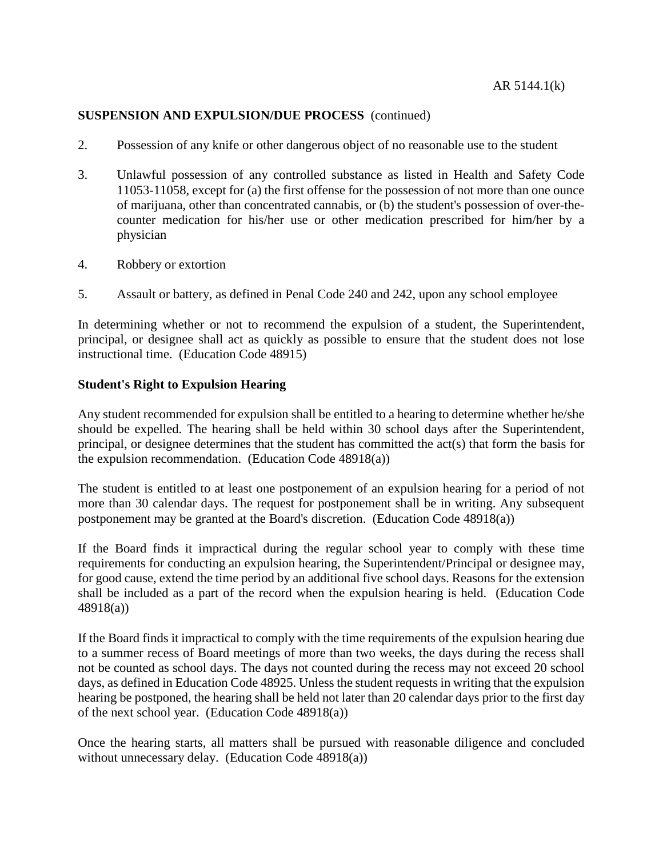- 2. Possession of any knife or other dangerous object of no reasonable use to the student
- 3. Unlawful possession of any controlled substance as listed in Health and Safety Code 11053-11058, except for (a) the first offense for the possession of not more than one ounce of marijuana, other than concentrated cannabis, or (b) the student's possession of over-thecounter medication for his/her use or other medication prescribed for him/her by a physician
- 4. Robbery or extortion
- 5. Assault or battery, as defined in Penal Code 240 and 242, upon any school employee

In determining whether or not to recommend the expulsion of a student, the Superintendent, principal, or designee shall act as quickly as possible to ensure that the student does not lose instructional time. (Education Code 48915)

## **Student's Right to Expulsion Hearing**

Any student recommended for expulsion shall be entitled to a hearing to determine whether he/she should be expelled. The hearing shall be held within 30 school days after the Superintendent, principal, or designee determines that the student has committed the act(s) that form the basis for the expulsion recommendation. (Education Code 48918(a))

The student is entitled to at least one postponement of an expulsion hearing for a period of not more than 30 calendar days. The request for postponement shall be in writing. Any subsequent postponement may be granted at the Board's discretion. (Education Code 48918(a))

If the Board finds it impractical during the regular school year to comply with these time requirements for conducting an expulsion hearing, the Superintendent/Principal or designee may, for good cause, extend the time period by an additional five school days. Reasons for the extension shall be included as a part of the record when the expulsion hearing is held. (Education Code 48918(a))

If the Board finds it impractical to comply with the time requirements of the expulsion hearing due to a summer recess of Board meetings of more than two weeks, the days during the recess shall not be counted as school days. The days not counted during the recess may not exceed 20 school days, as defined in Education Code 48925. Unless the student requests in writing that the expulsion hearing be postponed, the hearing shall be held not later than 20 calendar days prior to the first day of the next school year. (Education Code 48918(a))

Once the hearing starts, all matters shall be pursued with reasonable diligence and concluded without unnecessary delay. (Education Code 48918(a))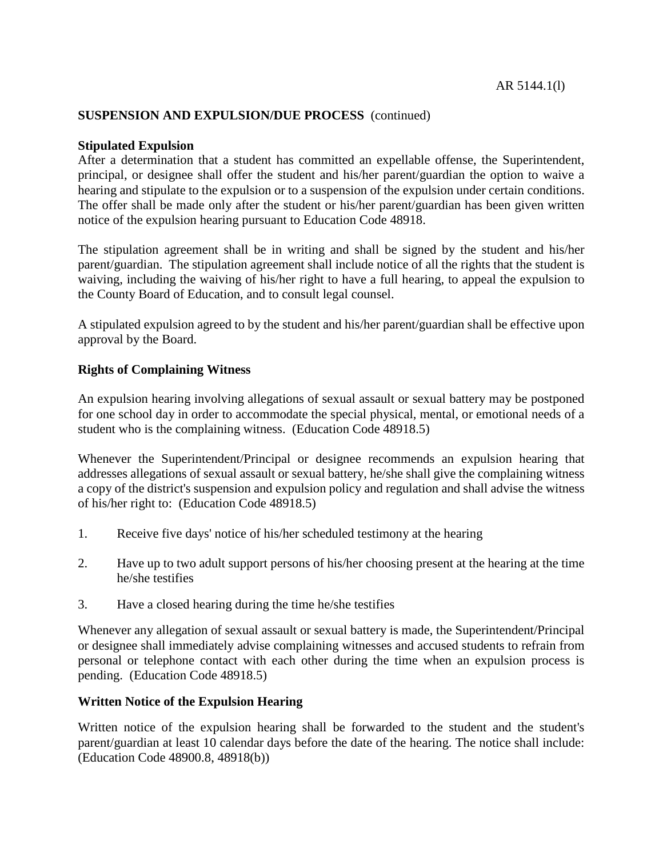## **Stipulated Expulsion**

After a determination that a student has committed an expellable offense, the Superintendent, principal, or designee shall offer the student and his/her parent/guardian the option to waive a hearing and stipulate to the expulsion or to a suspension of the expulsion under certain conditions. The offer shall be made only after the student or his/her parent/guardian has been given written notice of the expulsion hearing pursuant to Education Code 48918.

The stipulation agreement shall be in writing and shall be signed by the student and his/her parent/guardian. The stipulation agreement shall include notice of all the rights that the student is waiving, including the waiving of his/her right to have a full hearing, to appeal the expulsion to the County Board of Education, and to consult legal counsel.

A stipulated expulsion agreed to by the student and his/her parent/guardian shall be effective upon approval by the Board.

# **Rights of Complaining Witness**

An expulsion hearing involving allegations of sexual assault or sexual battery may be postponed for one school day in order to accommodate the special physical, mental, or emotional needs of a student who is the complaining witness. (Education Code 48918.5)

Whenever the Superintendent/Principal or designee recommends an expulsion hearing that addresses allegations of sexual assault or sexual battery, he/she shall give the complaining witness a copy of the district's suspension and expulsion policy and regulation and shall advise the witness of his/her right to: (Education Code 48918.5)

- 1. Receive five days' notice of his/her scheduled testimony at the hearing
- 2. Have up to two adult support persons of his/her choosing present at the hearing at the time he/she testifies
- 3. Have a closed hearing during the time he/she testifies

Whenever any allegation of sexual assault or sexual battery is made, the Superintendent/Principal or designee shall immediately advise complaining witnesses and accused students to refrain from personal or telephone contact with each other during the time when an expulsion process is pending. (Education Code 48918.5)

# **Written Notice of the Expulsion Hearing**

Written notice of the expulsion hearing shall be forwarded to the student and the student's parent/guardian at least 10 calendar days before the date of the hearing. The notice shall include: (Education Code 48900.8, 48918(b))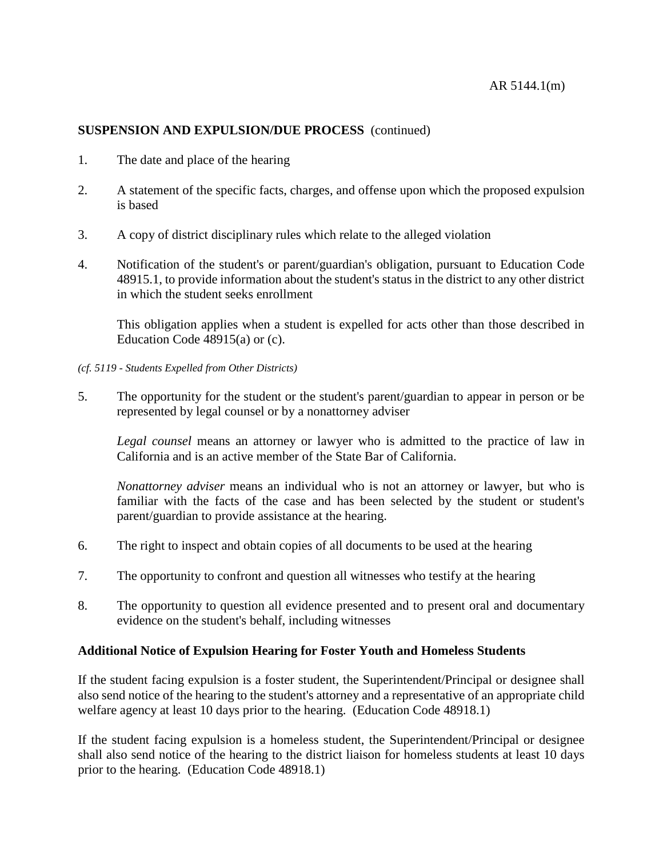- 1. The date and place of the hearing
- 2. A statement of the specific facts, charges, and offense upon which the proposed expulsion is based
- 3. A copy of district disciplinary rules which relate to the alleged violation
- 4. Notification of the student's or parent/guardian's obligation, pursuant to Education Code 48915.1, to provide information about the student's status in the district to any other district in which the student seeks enrollment

This obligation applies when a student is expelled for acts other than those described in Education Code 48915(a) or (c).

- *(cf. 5119 - Students Expelled from Other Districts)*
- 5. The opportunity for the student or the student's parent/guardian to appear in person or be represented by legal counsel or by a nonattorney adviser

*Legal counsel* means an attorney or lawyer who is admitted to the practice of law in California and is an active member of the State Bar of California.

*Nonattorney adviser* means an individual who is not an attorney or lawyer, but who is familiar with the facts of the case and has been selected by the student or student's parent/guardian to provide assistance at the hearing.

- 6. The right to inspect and obtain copies of all documents to be used at the hearing
- 7. The opportunity to confront and question all witnesses who testify at the hearing
- 8. The opportunity to question all evidence presented and to present oral and documentary evidence on the student's behalf, including witnesses

# **Additional Notice of Expulsion Hearing for Foster Youth and Homeless Students**

If the student facing expulsion is a foster student, the Superintendent/Principal or designee shall also send notice of the hearing to the student's attorney and a representative of an appropriate child welfare agency at least 10 days prior to the hearing. (Education Code 48918.1)

If the student facing expulsion is a homeless student, the Superintendent/Principal or designee shall also send notice of the hearing to the district liaison for homeless students at least 10 days prior to the hearing. (Education Code 48918.1)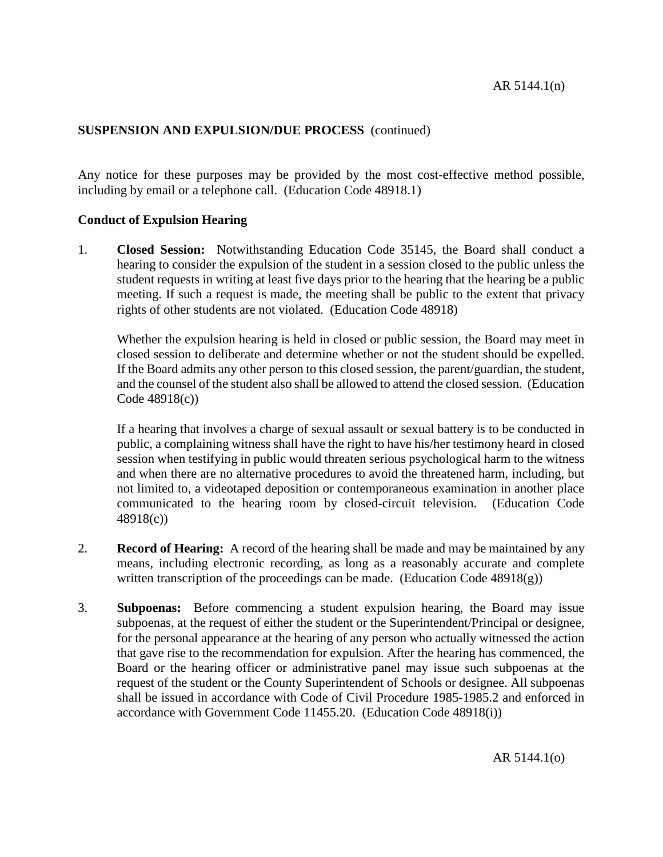Any notice for these purposes may be provided by the most cost-effective method possible, including by email or a telephone call. (Education Code 48918.1)

# **Conduct of Expulsion Hearing**

1. **Closed Session:** Notwithstanding Education Code 35145, the Board shall conduct a hearing to consider the expulsion of the student in a session closed to the public unless the student requests in writing at least five days prior to the hearing that the hearing be a public meeting. If such a request is made, the meeting shall be public to the extent that privacy rights of other students are not violated. (Education Code 48918)

Whether the expulsion hearing is held in closed or public session, the Board may meet in closed session to deliberate and determine whether or not the student should be expelled. If the Board admits any other person to this closed session, the parent/guardian, the student, and the counsel of the student also shall be allowed to attend the closed session. (Education Code 48918(c))

If a hearing that involves a charge of sexual assault or sexual battery is to be conducted in public, a complaining witness shall have the right to have his/her testimony heard in closed session when testifying in public would threaten serious psychological harm to the witness and when there are no alternative procedures to avoid the threatened harm, including, but not limited to, a videotaped deposition or contemporaneous examination in another place communicated to the hearing room by closed-circuit television. (Education Code 48918(c))

- 2. **Record of Hearing:** A record of the hearing shall be made and may be maintained by any means, including electronic recording, as long as a reasonably accurate and complete written transcription of the proceedings can be made. (Education Code  $48918(g)$ )
- 3. **Subpoenas:** Before commencing a student expulsion hearing, the Board may issue subpoenas, at the request of either the student or the Superintendent/Principal or designee, for the personal appearance at the hearing of any person who actually witnessed the action that gave rise to the recommendation for expulsion. After the hearing has commenced, the Board or the hearing officer or administrative panel may issue such subpoenas at the request of the student or the County Superintendent of Schools or designee. All subpoenas shall be issued in accordance with Code of Civil Procedure 1985-1985.2 and enforced in accordance with Government Code 11455.20. (Education Code 48918(i))

AR 5144.1(o)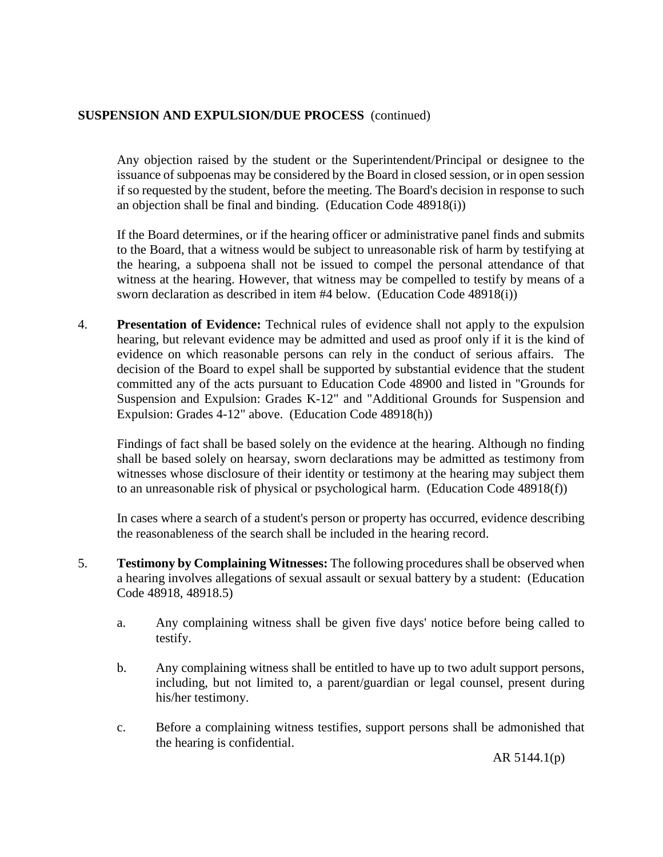Any objection raised by the student or the Superintendent/Principal or designee to the issuance of subpoenas may be considered by the Board in closed session, or in open session if so requested by the student, before the meeting. The Board's decision in response to such an objection shall be final and binding. (Education Code 48918(i))

If the Board determines, or if the hearing officer or administrative panel finds and submits to the Board, that a witness would be subject to unreasonable risk of harm by testifying at the hearing, a subpoena shall not be issued to compel the personal attendance of that witness at the hearing. However, that witness may be compelled to testify by means of a sworn declaration as described in item #4 below. (Education Code 48918(i))

4. **Presentation of Evidence:** Technical rules of evidence shall not apply to the expulsion hearing, but relevant evidence may be admitted and used as proof only if it is the kind of evidence on which reasonable persons can rely in the conduct of serious affairs. The decision of the Board to expel shall be supported by substantial evidence that the student committed any of the acts pursuant to Education Code 48900 and listed in "Grounds for Suspension and Expulsion: Grades K-12" and "Additional Grounds for Suspension and Expulsion: Grades 4-12" above. (Education Code 48918(h))

Findings of fact shall be based solely on the evidence at the hearing. Although no finding shall be based solely on hearsay, sworn declarations may be admitted as testimony from witnesses whose disclosure of their identity or testimony at the hearing may subject them to an unreasonable risk of physical or psychological harm. (Education Code 48918(f))

In cases where a search of a student's person or property has occurred, evidence describing the reasonableness of the search shall be included in the hearing record.

- 5. **Testimony by Complaining Witnesses:** The following procedures shall be observed when a hearing involves allegations of sexual assault or sexual battery by a student: (Education Code 48918, 48918.5)
	- a. Any complaining witness shall be given five days' notice before being called to testify.
	- b. Any complaining witness shall be entitled to have up to two adult support persons, including, but not limited to, a parent/guardian or legal counsel, present during his/her testimony.
	- c. Before a complaining witness testifies, support persons shall be admonished that the hearing is confidential.

AR 5144.1(p)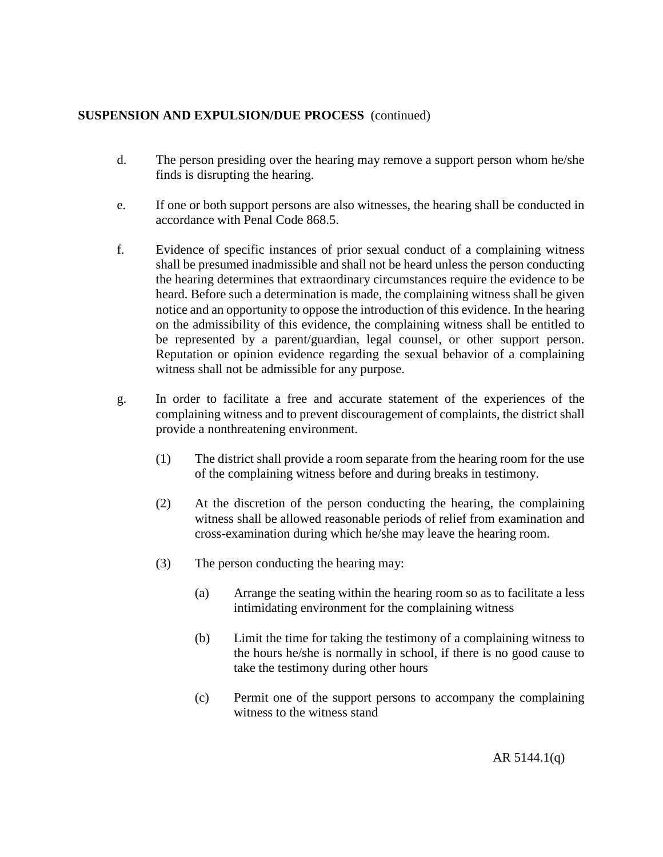- d. The person presiding over the hearing may remove a support person whom he/she finds is disrupting the hearing.
- e. If one or both support persons are also witnesses, the hearing shall be conducted in accordance with Penal Code 868.5.
- f. Evidence of specific instances of prior sexual conduct of a complaining witness shall be presumed inadmissible and shall not be heard unless the person conducting the hearing determines that extraordinary circumstances require the evidence to be heard. Before such a determination is made, the complaining witness shall be given notice and an opportunity to oppose the introduction of this evidence. In the hearing on the admissibility of this evidence, the complaining witness shall be entitled to be represented by a parent/guardian, legal counsel, or other support person. Reputation or opinion evidence regarding the sexual behavior of a complaining witness shall not be admissible for any purpose.
- g. In order to facilitate a free and accurate statement of the experiences of the complaining witness and to prevent discouragement of complaints, the district shall provide a nonthreatening environment.
	- (1) The district shall provide a room separate from the hearing room for the use of the complaining witness before and during breaks in testimony.
	- (2) At the discretion of the person conducting the hearing, the complaining witness shall be allowed reasonable periods of relief from examination and cross-examination during which he/she may leave the hearing room.
	- (3) The person conducting the hearing may:
		- (a) Arrange the seating within the hearing room so as to facilitate a less intimidating environment for the complaining witness
		- (b) Limit the time for taking the testimony of a complaining witness to the hours he/she is normally in school, if there is no good cause to take the testimony during other hours
		- (c) Permit one of the support persons to accompany the complaining witness to the witness stand

AR 5144.1(q)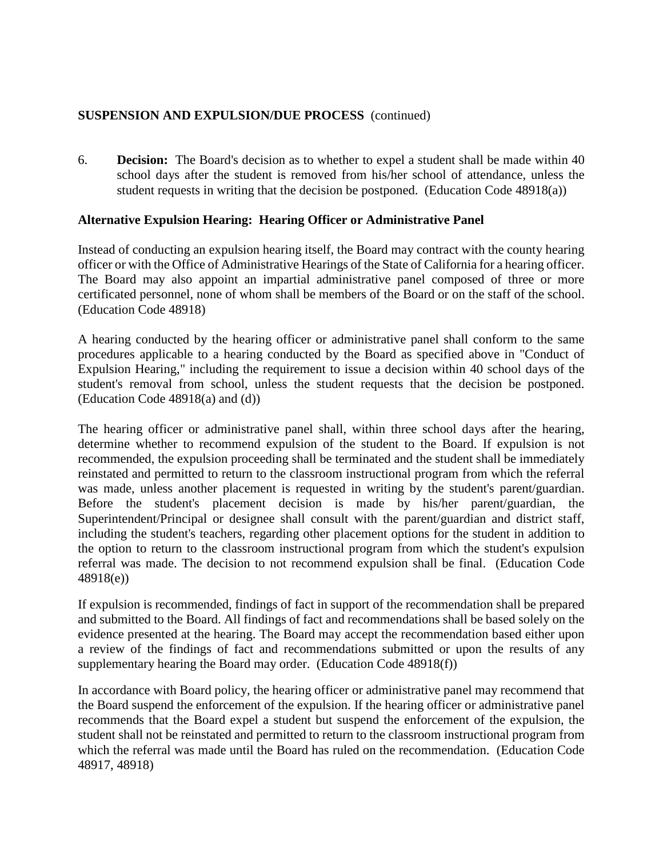6. **Decision:** The Board's decision as to whether to expel a student shall be made within 40 school days after the student is removed from his/her school of attendance, unless the student requests in writing that the decision be postponed. (Education Code 48918(a))

# **Alternative Expulsion Hearing: Hearing Officer or Administrative Panel**

Instead of conducting an expulsion hearing itself, the Board may contract with the county hearing officer or with the Office of Administrative Hearings of the State of California for a hearing officer. The Board may also appoint an impartial administrative panel composed of three or more certificated personnel, none of whom shall be members of the Board or on the staff of the school. (Education Code 48918)

A hearing conducted by the hearing officer or administrative panel shall conform to the same procedures applicable to a hearing conducted by the Board as specified above in "Conduct of Expulsion Hearing," including the requirement to issue a decision within 40 school days of the student's removal from school, unless the student requests that the decision be postponed. (Education Code 48918(a) and (d))

The hearing officer or administrative panel shall, within three school days after the hearing, determine whether to recommend expulsion of the student to the Board. If expulsion is not recommended, the expulsion proceeding shall be terminated and the student shall be immediately reinstated and permitted to return to the classroom instructional program from which the referral was made, unless another placement is requested in writing by the student's parent/guardian. Before the student's placement decision is made by his/her parent/guardian, the Superintendent/Principal or designee shall consult with the parent/guardian and district staff, including the student's teachers, regarding other placement options for the student in addition to the option to return to the classroom instructional program from which the student's expulsion referral was made. The decision to not recommend expulsion shall be final. (Education Code 48918(e))

If expulsion is recommended, findings of fact in support of the recommendation shall be prepared and submitted to the Board. All findings of fact and recommendations shall be based solely on the evidence presented at the hearing. The Board may accept the recommendation based either upon a review of the findings of fact and recommendations submitted or upon the results of any supplementary hearing the Board may order. (Education Code 48918(f))

In accordance with Board policy, the hearing officer or administrative panel may recommend that the Board suspend the enforcement of the expulsion. If the hearing officer or administrative panel recommends that the Board expel a student but suspend the enforcement of the expulsion, the student shall not be reinstated and permitted to return to the classroom instructional program from which the referral was made until the Board has ruled on the recommendation. (Education Code 48917, 48918)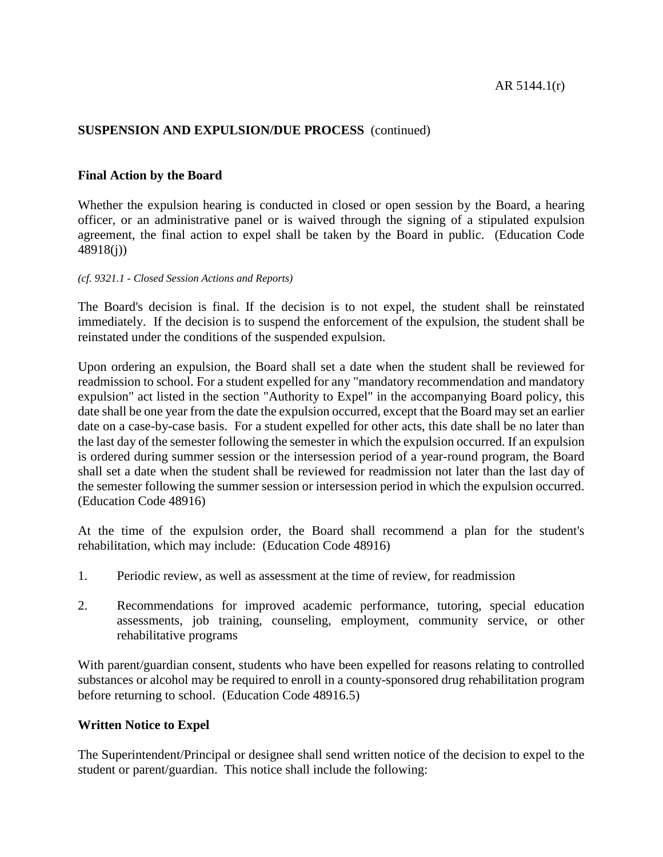# **Final Action by the Board**

Whether the expulsion hearing is conducted in closed or open session by the Board, a hearing officer, or an administrative panel or is waived through the signing of a stipulated expulsion agreement, the final action to expel shall be taken by the Board in public. (Education Code 48918(j))

#### *(cf. 9321.1 - Closed Session Actions and Reports)*

The Board's decision is final. If the decision is to not expel, the student shall be reinstated immediately. If the decision is to suspend the enforcement of the expulsion, the student shall be reinstated under the conditions of the suspended expulsion.

Upon ordering an expulsion, the Board shall set a date when the student shall be reviewed for readmission to school. For a student expelled for any "mandatory recommendation and mandatory expulsion" act listed in the section "Authority to Expel" in the accompanying Board policy, this date shall be one year from the date the expulsion occurred, except that the Board may set an earlier date on a case-by-case basis. For a student expelled for other acts, this date shall be no later than the last day of the semester following the semester in which the expulsion occurred. If an expulsion is ordered during summer session or the intersession period of a year-round program, the Board shall set a date when the student shall be reviewed for readmission not later than the last day of the semester following the summer session or intersession period in which the expulsion occurred. (Education Code 48916)

At the time of the expulsion order, the Board shall recommend a plan for the student's rehabilitation, which may include: (Education Code 48916)

- 1. Periodic review, as well as assessment at the time of review, for readmission
- 2. Recommendations for improved academic performance, tutoring, special education assessments, job training, counseling, employment, community service, or other rehabilitative programs

With parent/guardian consent, students who have been expelled for reasons relating to controlled substances or alcohol may be required to enroll in a county-sponsored drug rehabilitation program before returning to school. (Education Code 48916.5)

# **Written Notice to Expel**

The Superintendent/Principal or designee shall send written notice of the decision to expel to the student or parent/guardian. This notice shall include the following: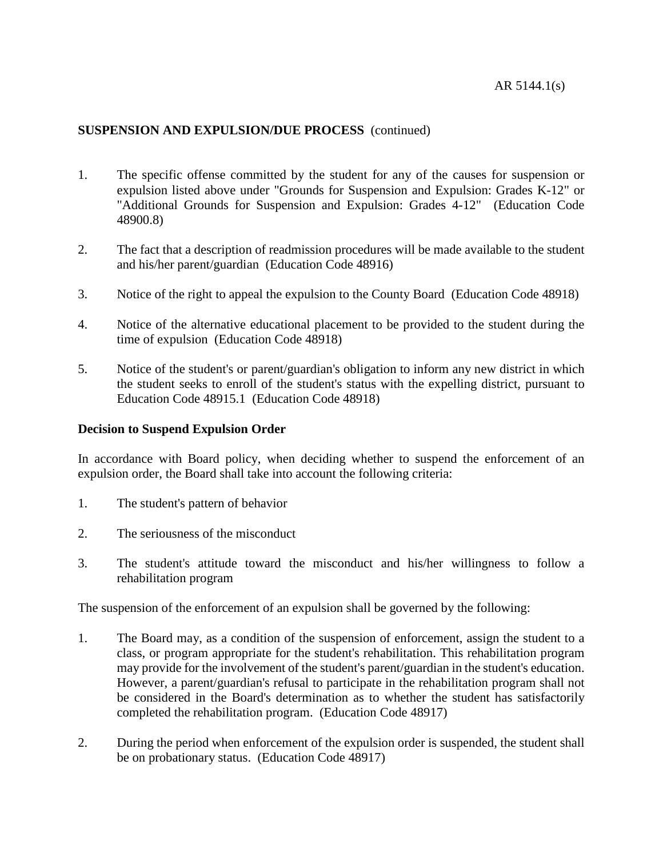- 1. The specific offense committed by the student for any of the causes for suspension or expulsion listed above under "Grounds for Suspension and Expulsion: Grades K-12" or "Additional Grounds for Suspension and Expulsion: Grades 4-12" (Education Code 48900.8)
- 2. The fact that a description of readmission procedures will be made available to the student and his/her parent/guardian (Education Code 48916)
- 3. Notice of the right to appeal the expulsion to the County Board (Education Code 48918)
- 4. Notice of the alternative educational placement to be provided to the student during the time of expulsion (Education Code 48918)
- 5. Notice of the student's or parent/guardian's obligation to inform any new district in which the student seeks to enroll of the student's status with the expelling district, pursuant to Education Code 48915.1 (Education Code 48918)

## **Decision to Suspend Expulsion Order**

In accordance with Board policy, when deciding whether to suspend the enforcement of an expulsion order, the Board shall take into account the following criteria:

- 1. The student's pattern of behavior
- 2. The seriousness of the misconduct
- 3. The student's attitude toward the misconduct and his/her willingness to follow a rehabilitation program

The suspension of the enforcement of an expulsion shall be governed by the following:

- 1. The Board may, as a condition of the suspension of enforcement, assign the student to a class, or program appropriate for the student's rehabilitation. This rehabilitation program may provide for the involvement of the student's parent/guardian in the student's education. However, a parent/guardian's refusal to participate in the rehabilitation program shall not be considered in the Board's determination as to whether the student has satisfactorily completed the rehabilitation program. (Education Code 48917)
- 2. During the period when enforcement of the expulsion order is suspended, the student shall be on probationary status. (Education Code 48917)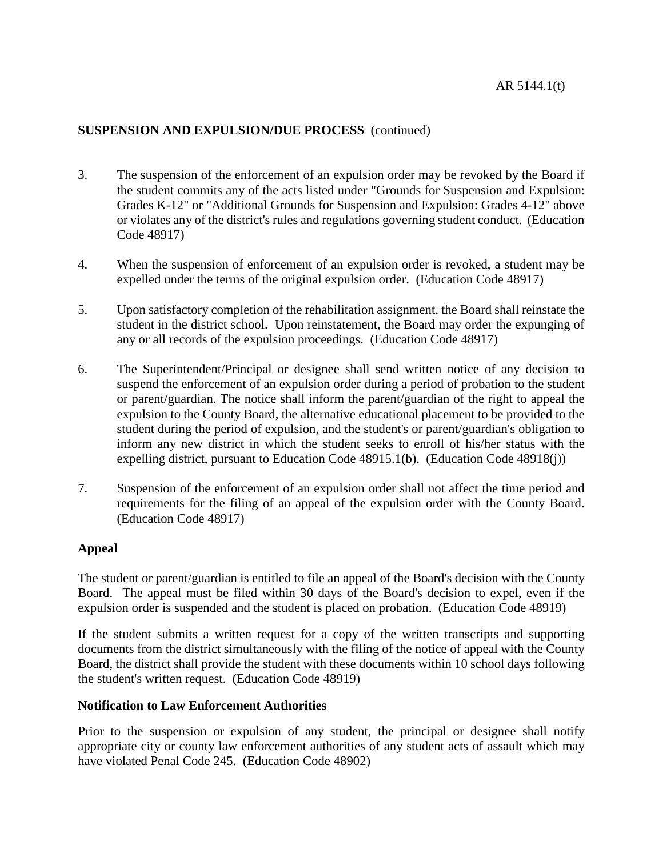- 3. The suspension of the enforcement of an expulsion order may be revoked by the Board if the student commits any of the acts listed under "Grounds for Suspension and Expulsion: Grades K-12" or "Additional Grounds for Suspension and Expulsion: Grades 4-12" above or violates any of the district's rules and regulations governing student conduct. (Education Code 48917)
- 4. When the suspension of enforcement of an expulsion order is revoked, a student may be expelled under the terms of the original expulsion order. (Education Code 48917)
- 5. Upon satisfactory completion of the rehabilitation assignment, the Board shall reinstate the student in the district school. Upon reinstatement, the Board may order the expunging of any or all records of the expulsion proceedings. (Education Code 48917)
- 6. The Superintendent/Principal or designee shall send written notice of any decision to suspend the enforcement of an expulsion order during a period of probation to the student or parent/guardian. The notice shall inform the parent/guardian of the right to appeal the expulsion to the County Board, the alternative educational placement to be provided to the student during the period of expulsion, and the student's or parent/guardian's obligation to inform any new district in which the student seeks to enroll of his/her status with the expelling district, pursuant to Education Code 48915.1(b). (Education Code 48918(j))
- 7. Suspension of the enforcement of an expulsion order shall not affect the time period and requirements for the filing of an appeal of the expulsion order with the County Board. (Education Code 48917)

# **Appeal**

The student or parent/guardian is entitled to file an appeal of the Board's decision with the County Board. The appeal must be filed within 30 days of the Board's decision to expel, even if the expulsion order is suspended and the student is placed on probation. (Education Code 48919)

If the student submits a written request for a copy of the written transcripts and supporting documents from the district simultaneously with the filing of the notice of appeal with the County Board, the district shall provide the student with these documents within 10 school days following the student's written request. (Education Code 48919)

# **Notification to Law Enforcement Authorities**

Prior to the suspension or expulsion of any student, the principal or designee shall notify appropriate city or county law enforcement authorities of any student acts of assault which may have violated Penal Code 245. (Education Code 48902)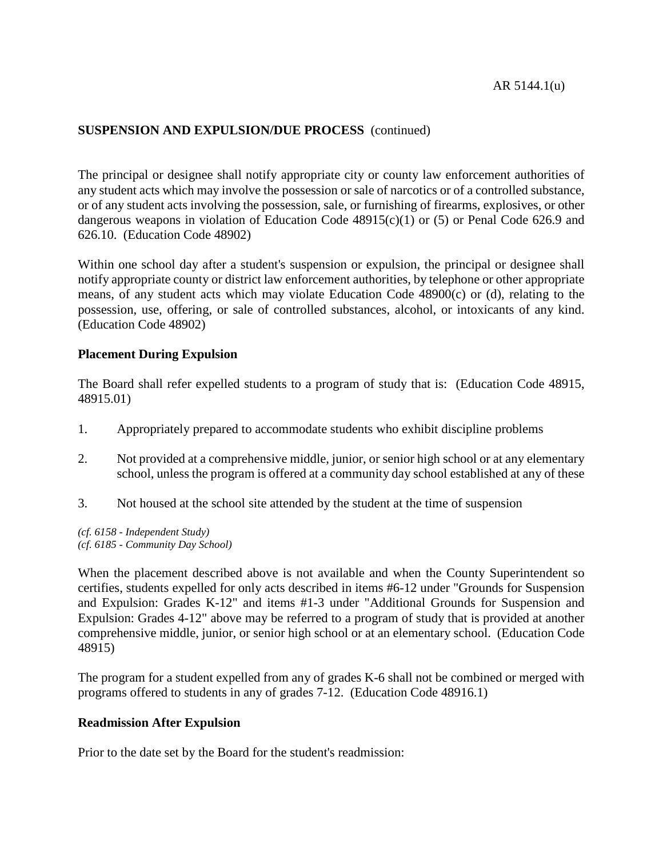The principal or designee shall notify appropriate city or county law enforcement authorities of any student acts which may involve the possession or sale of narcotics or of a controlled substance, or of any student acts involving the possession, sale, or furnishing of firearms, explosives, or other dangerous weapons in violation of Education Code 48915(c)(1) or (5) or Penal Code 626.9 and 626.10. (Education Code 48902)

Within one school day after a student's suspension or expulsion, the principal or designee shall notify appropriate county or district law enforcement authorities, by telephone or other appropriate means, of any student acts which may violate Education Code 48900(c) or (d), relating to the possession, use, offering, or sale of controlled substances, alcohol, or intoxicants of any kind. (Education Code 48902)

# **Placement During Expulsion**

The Board shall refer expelled students to a program of study that is: (Education Code 48915, 48915.01)

- 1. Appropriately prepared to accommodate students who exhibit discipline problems
- 2. Not provided at a comprehensive middle, junior, or senior high school or at any elementary school, unless the program is offered at a community day school established at any of these
- 3. Not housed at the school site attended by the student at the time of suspension

*(cf. 6158 - Independent Study) (cf. 6185 - Community Day School)*

When the placement described above is not available and when the County Superintendent so certifies, students expelled for only acts described in items #6-12 under "Grounds for Suspension and Expulsion: Grades K-12" and items #1-3 under "Additional Grounds for Suspension and Expulsion: Grades 4-12" above may be referred to a program of study that is provided at another comprehensive middle, junior, or senior high school or at an elementary school. (Education Code 48915)

The program for a student expelled from any of grades K-6 shall not be combined or merged with programs offered to students in any of grades 7-12. (Education Code 48916.1)

# **Readmission After Expulsion**

Prior to the date set by the Board for the student's readmission: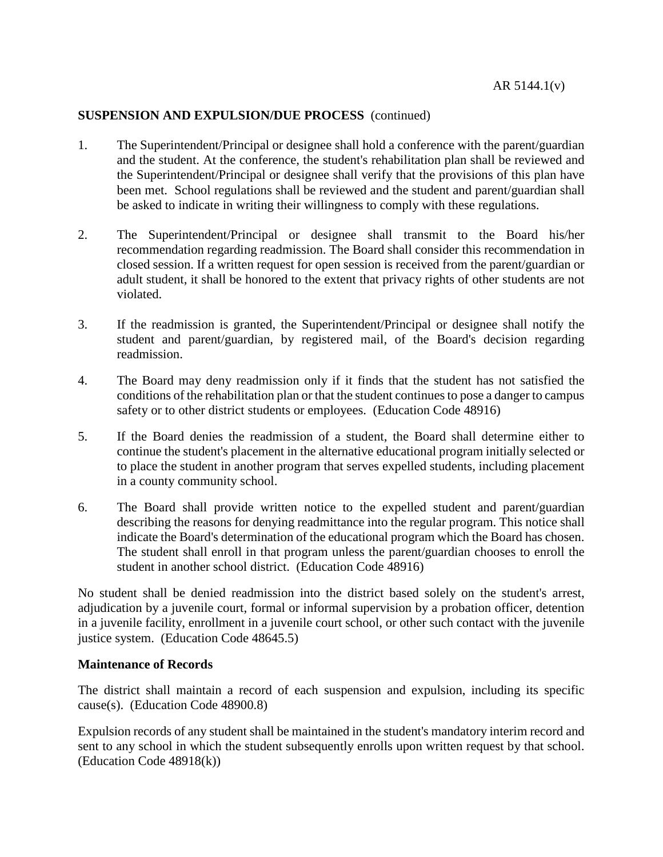- 1. The Superintendent/Principal or designee shall hold a conference with the parent/guardian and the student. At the conference, the student's rehabilitation plan shall be reviewed and the Superintendent/Principal or designee shall verify that the provisions of this plan have been met. School regulations shall be reviewed and the student and parent/guardian shall be asked to indicate in writing their willingness to comply with these regulations.
- 2. The Superintendent/Principal or designee shall transmit to the Board his/her recommendation regarding readmission. The Board shall consider this recommendation in closed session. If a written request for open session is received from the parent/guardian or adult student, it shall be honored to the extent that privacy rights of other students are not violated.
- 3. If the readmission is granted, the Superintendent/Principal or designee shall notify the student and parent/guardian, by registered mail, of the Board's decision regarding readmission.
- 4. The Board may deny readmission only if it finds that the student has not satisfied the conditions of the rehabilitation plan or that the student continuesto pose a danger to campus safety or to other district students or employees. (Education Code 48916)
- 5. If the Board denies the readmission of a student, the Board shall determine either to continue the student's placement in the alternative educational program initially selected or to place the student in another program that serves expelled students, including placement in a county community school.
- 6. The Board shall provide written notice to the expelled student and parent/guardian describing the reasons for denying readmittance into the regular program. This notice shall indicate the Board's determination of the educational program which the Board has chosen. The student shall enroll in that program unless the parent/guardian chooses to enroll the student in another school district. (Education Code 48916)

No student shall be denied readmission into the district based solely on the student's arrest, adjudication by a juvenile court, formal or informal supervision by a probation officer, detention in a juvenile facility, enrollment in a juvenile court school, or other such contact with the juvenile justice system. (Education Code 48645.5)

#### **Maintenance of Records**

The district shall maintain a record of each suspension and expulsion, including its specific cause(s). (Education Code 48900.8)

Expulsion records of any student shall be maintained in the student's mandatory interim record and sent to any school in which the student subsequently enrolls upon written request by that school. (Education Code 48918(k))